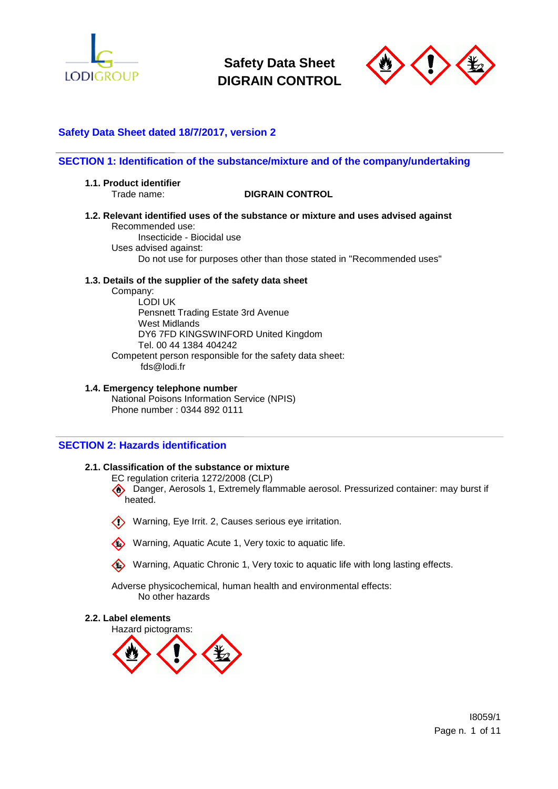



# **Safety Data Sheet dated 18/7/2017, version 2**

# **SECTION 1: Identification of the substance/mixture and of the company/undertaking**

**1.1. Product identifier**

### Trade name: **DIGRAIN CONTROL**

- **1.2. Relevant identified uses of the substance or mixture and uses advised against** Recommended use:
	- Insecticide Biocidal use Uses advised against: Do not use for purposes other than those stated in "Recommended uses"

### **1.3. Details of the supplier of the safety data sheet**

Company: LODI UK Pensnett Trading Estate 3rd Avenue West Midlands DY6 7FD KINGSWINFORD United Kingdom Tel. 00 44 1384 404242 Competent person responsible for the safety data sheet: fds@lodi.fr

### **1.4. Emergency telephone number**

National Poisons Information Service (NPIS) Phone number : 0344 892 0111

### **SECTION 2: Hazards identification**

### **2.1. Classification of the substance or mixture**

EC regulation criteria 1272/2008 (CLP)

 Danger, Aerosols 1, Extremely flammable aerosol. Pressurized container: may burst if heated.

Warning, Eye Irrit. 2, Causes serious eye irritation.

Warning, Aquatic Acute 1, Very toxic to aquatic life.

Warning, Aquatic Chronic 1, Very toxic to aquatic life with long lasting effects.

Adverse physicochemical, human health and environmental effects: No other hazards

#### **2.2. Label elements**

Hazard pictograms:

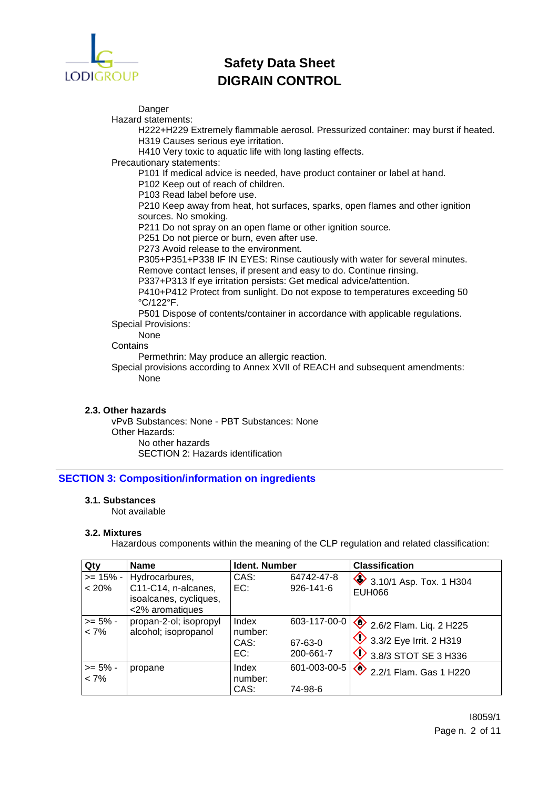

Danger

Hazard statements:

H222+H229 Extremely flammable aerosol. Pressurized container: may burst if heated. H319 Causes serious eye irritation.

H410 Very toxic to aquatic life with long lasting effects.

Precautionary statements:

P101 If medical advice is needed, have product container or label at hand.

P102 Keep out of reach of children.

P103 Read label before use.

P210 Keep away from heat, hot surfaces, sparks, open flames and other ignition sources. No smoking.

P211 Do not spray on an open flame or other ignition source.

P251 Do not pierce or burn, even after use.

P273 Avoid release to the environment.

P305+P351+P338 IF IN EYES: Rinse cautiously with water for several minutes. Remove contact lenses, if present and easy to do. Continue rinsing.

P337+P313 If eye irritation persists: Get medical advice/attention.

P410+P412 Protect from sunlight. Do not expose to temperatures exceeding 50 °C/122°F.

P501 Dispose of contents/container in accordance with applicable regulations. Special Provisions:

None

**Contains** 

Permethrin: May produce an allergic reaction.

Special provisions according to Annex XVII of REACH and subsequent amendments: None

## **2.3. Other hazards**

vPvB Substances: None - PBT Substances: None Other Hazards: No other hazards SECTION 2: Hazards identification

## **SECTION 3: Composition/information on ingredients**

### **3.1. Substances**

Not available

### **3.2. Mixtures**

Hazardous components within the meaning of the CLP regulation and related classification:

| Qty                   | <b>Name</b>                                                                                     | Ident. Number                   |                                      | <b>Classification</b>                                                                   |
|-----------------------|-------------------------------------------------------------------------------------------------|---------------------------------|--------------------------------------|-----------------------------------------------------------------------------------------|
| < 20%                 | $>= 15\% -  Hydrocarbures $<br>C11-C14, n-alcanes,<br>isoalcanes, cycliques,<br><2% aromatiques | CAS:<br>EC:                     | 64742-47-8<br>$926 - 141 - 6$        | 3.10/1 Asp. Tox. 1 H304<br><b>EUH066</b>                                                |
| $>= 5\%$ -<br>$< 7\%$ | propan-2-ol; isopropyl<br>alcohol; isopropanol                                                  | Index<br>number:<br>CAS:<br>EC: | 603-117-00-0<br>67-63-0<br>200-661-7 | 2.6/2 Flam. Liq. 2 H225<br>3.3/2 Eye Irrit. 2 H319<br>$\bigotimes$ 3.8/3 STOT SE 3 H336 |
| $>= 5\%$ -<br>$< 7\%$ | propane                                                                                         | Index<br>number:<br>CAS:        | 601-003-00-5<br>74-98-6              | 2.2/1 Flam. Gas 1 H220                                                                  |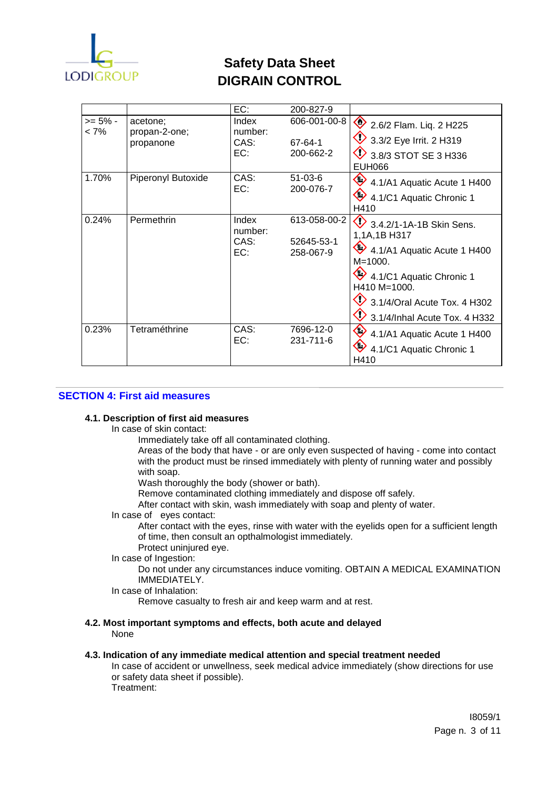

|                 |                                        | EC:                             | 200-827-9                               |                                                                                                                                                                                                                                    |
|-----------------|----------------------------------------|---------------------------------|-----------------------------------------|------------------------------------------------------------------------------------------------------------------------------------------------------------------------------------------------------------------------------------|
| >= 5% -<br>< 7% | acetone;<br>propan-2-one;<br>propanone | Index<br>number:<br>CAS:<br>EC: | 606-001-00-8<br>67-64-1<br>200-662-2    | 2.6/2 Flam. Liq. 2 H225<br>3.3/2 Eye Irrit. 2 H319<br>$\vee$ 3.8/3 STOT SE 3 H336<br><b>EUH066</b>                                                                                                                                 |
| 1.70%           | Piperonyl Butoxide                     | CAS:<br>EC:                     | $51-03-6$<br>200-076-7                  | $\bullet$ 4.1/A1 Aquatic Acute 1 H400<br>4.1/C1 Aquatic Chronic 1<br>H410                                                                                                                                                          |
| 0.24%           | Permethrin                             | Index<br>number:<br>CAS:<br>EC: | 613-058-00-2<br>52645-53-1<br>258-067-9 | $\bigotimes$ 3.4.2/1-1A-1B Skin Sens.<br>1,1A,1B H317<br>$4.1/A1$ Aquatic Acute 1 H400<br>$M = 1000$ .<br>4.1/C1 Aquatic Chronic 1<br>H410 M=1000.<br>$\overline{2}$ 3.1/4/Oral Acute Tox. 4 H302<br>3.1/4/Inhal Acute Tox. 4 H332 |
| 0.23%           | Tetraméthrine                          | CAS:<br>EC:                     | 7696-12-0<br>231-711-6                  | 4.1/A1 Aquatic Acute 1 H400<br>4.1/C1 Aquatic Chronic 1<br>H410                                                                                                                                                                    |

## **SECTION 4: First aid measures**

### **4.1. Description of first aid measures**

In case of skin contact:

Immediately take off all contaminated clothing.

Areas of the body that have - or are only even suspected of having - come into contact with the product must be rinsed immediately with plenty of running water and possibly with soap.

Wash thoroughly the body (shower or bath).

Remove contaminated clothing immediately and dispose off safely.

After contact with skin, wash immediately with soap and plenty of water.

In case of eyes contact:

After contact with the eyes, rinse with water with the eyelids open for a sufficient length of time, then consult an opthalmologist immediately.

Protect uninjured eye.

# In case of Ingestion:

Do not under any circumstances induce vomiting. OBTAIN A MEDICAL EXAMINATION IMMEDIATELY.

In case of Inhalation:

Remove casualty to fresh air and keep warm and at rest.

### **4.2. Most important symptoms and effects, both acute and delayed** None

### **4.3. Indication of any immediate medical attention and special treatment needed**

In case of accident or unwellness, seek medical advice immediately (show directions for use or safety data sheet if possible). Treatment: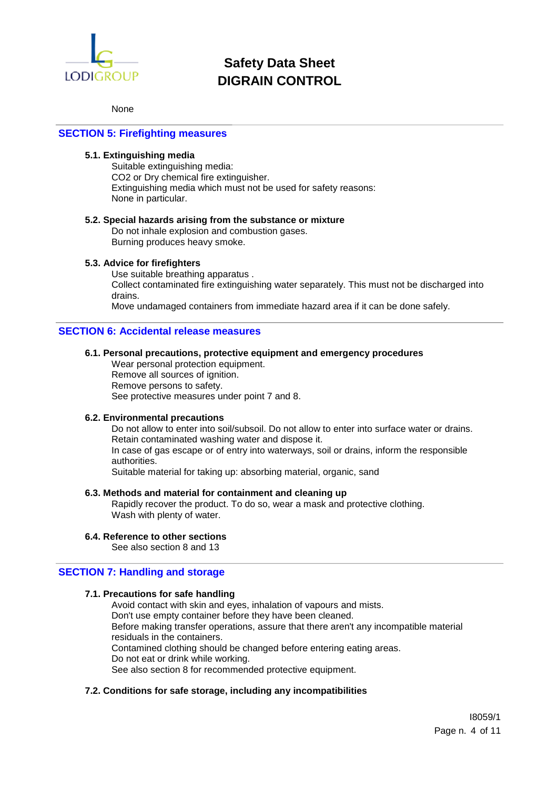

### None

### **SECTION 5: Firefighting measures**

# **5.1. Extinguishing media**

Suitable extinguishing media: CO2 or Dry chemical fire extinguisher. Extinguishing media which must not be used for safety reasons: None in particular.

### **5.2. Special hazards arising from the substance or mixture**

Do not inhale explosion and combustion gases. Burning produces heavy smoke.

### **5.3. Advice for firefighters**

Use suitable breathing apparatus . Collect contaminated fire extinguishing water separately. This must not be discharged into drains.

Move undamaged containers from immediate hazard area if it can be done safely.

### **SECTION 6: Accidental release measures**

### **6.1. Personal precautions, protective equipment and emergency procedures**

Wear personal protection equipment. Remove all sources of ignition. Remove persons to safety. See protective measures under point 7 and 8.

### **6.2. Environmental precautions**

Do not allow to enter into soil/subsoil. Do not allow to enter into surface water or drains. Retain contaminated washing water and dispose it. In case of gas escape or of entry into waterways, soil or drains, inform the responsible authorities.

Suitable material for taking up: absorbing material, organic, sand

### **6.3. Methods and material for containment and cleaning up**

Rapidly recover the product. To do so, wear a mask and protective clothing. Wash with plenty of water.

#### **6.4. Reference to other sections**

See also section 8 and 13

### **SECTION 7: Handling and storage**

#### **7.1. Precautions for safe handling**

Avoid contact with skin and eyes, inhalation of vapours and mists. Don't use empty container before they have been cleaned. Before making transfer operations, assure that there aren't any incompatible material residuals in the containers. Contamined clothing should be changed before entering eating areas. Do not eat or drink while working. See also section 8 for recommended protective equipment.

### **7.2. Conditions for safe storage, including any incompatibilities**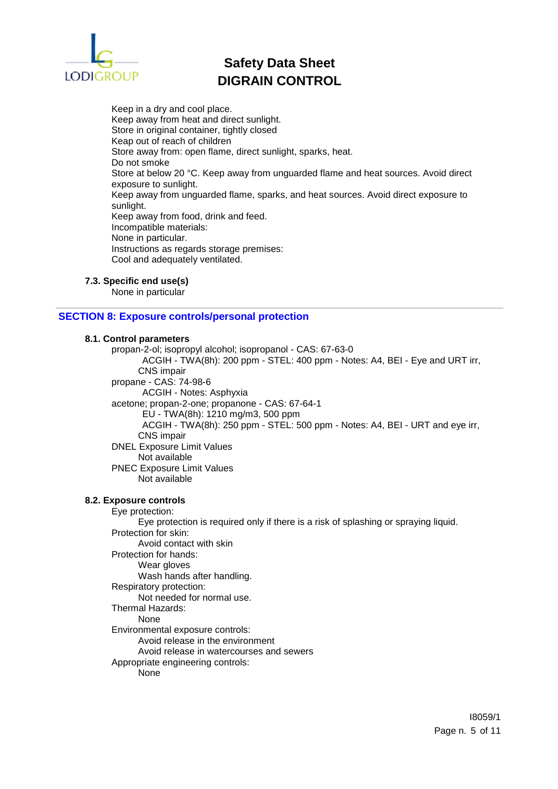

Keep in a dry and cool place. Keep away from heat and direct sunlight. Store in original container, tightly closed Keap out of reach of children Store away from: open flame, direct sunlight, sparks, heat. Do not smoke Store at below 20 °C. Keep away from unguarded flame and heat sources. Avoid direct exposure to sunlight. Keep away from unguarded flame, sparks, and heat sources. Avoid direct exposure to sunlight. Keep away from food, drink and feed. Incompatible materials: None in particular. Instructions as regards storage premises: Cool and adequately ventilated.

### **7.3. Specific end use(s)**

None in particular

## **SECTION 8: Exposure controls/personal protection**

### **8.1. Control parameters**

propan-2-ol; isopropyl alcohol; isopropanol - CAS: 67-63-0 ACGIH - TWA(8h): 200 ppm - STEL: 400 ppm - Notes: A4, BEI - Eye and URT irr, CNS impair propane - CAS: 74-98-6 ACGIH - Notes: Asphyxia acetone; propan-2-one; propanone - CAS: 67-64-1 EU - TWA(8h): 1210 mg/m3, 500 ppm ACGIH - TWA(8h): 250 ppm - STEL: 500 ppm - Notes: A4, BEI - URT and eye irr, CNS impair DNEL Exposure Limit Values Not available PNEC Exposure Limit Values Not available **8.2. Exposure controls** Eye protection: Eye protection is required only if there is a risk of splashing or spraying liquid. Protection for skin: Avoid contact with skin Protection for hands: Wear gloves Wash hands after handling. Respiratory protection: Not needed for normal use. Thermal Hazards: None Environmental exposure controls: Avoid release in the environment Avoid release in watercourses and sewers Appropriate engineering controls: None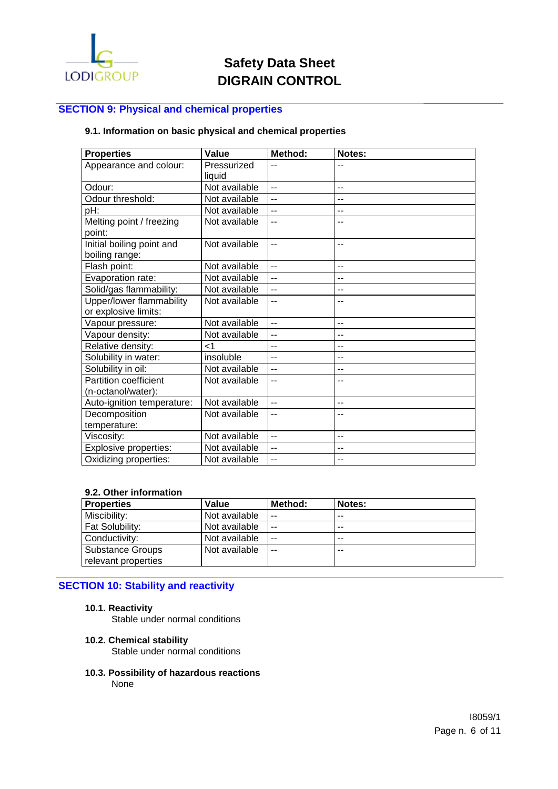

# **SECTION 9: Physical and chemical properties**

# **9.1. Information on basic physical and chemical properties**

| <b>Properties</b>                           | Value                 | Method:        | Notes: |
|---------------------------------------------|-----------------------|----------------|--------|
| Appearance and colour:                      | Pressurized<br>liquid | --             |        |
| Odour:                                      | Not available         | $\overline{a}$ | $-$    |
| Odour threshold:                            | Not available         | --             | $-$    |
| pH:                                         | Not available         | $-$            | --     |
| Melting point / freezing<br>point:          | Not available         | $-$            |        |
| Initial boiling point and<br>boiling range: | Not available         | $-$            | --     |
| Flash point:                                | Not available         | $\overline{a}$ | $-$    |
| Evaporation rate:                           | Not available         | $\overline{a}$ | --     |
| Solid/gas flammability:                     | Not available         | $-$            | --     |
| Upper/lower flammability                    | Not available         | --             | --     |
| or explosive limits:                        |                       |                |        |
| Vapour pressure:                            | Not available         | Ξ.             | --     |
| Vapour density:                             | Not available         | $-$            | $-$    |
| Relative density:                           | $\leq$ 1              | --             |        |
| Solubility in water:                        | insoluble             | $-$            | --     |
| Solubility in oil:                          | Not available         | $-$            | $-$    |
| <b>Partition coefficient</b>                | Not available         | --             |        |
| (n-octanol/water):                          |                       |                |        |
| Auto-ignition temperature:                  | Not available         | $\overline{a}$ | --     |
| Decomposition                               | Not available         | $-$            |        |
| temperature:                                |                       |                |        |
| Viscosity:                                  | Not available         | $-$            | --     |
| <b>Explosive properties:</b>                | Not available         | $\overline{a}$ | --     |
| Oxidizing properties:                       | Not available         | $-$            | $-$    |

### **9.2. Other information**

| <b>Properties</b>       | Value         | Method: | <b>Notes:</b> |
|-------------------------|---------------|---------|---------------|
| Miscibility:            | Not available | $-$     | $- -$         |
| <b>Fat Solubility:</b>  | Not available | $-$     | $- -$         |
| Conductivity:           | Not available | .       | $- -$         |
| <b>Substance Groups</b> | Not available | $-$     | $- -$         |
| relevant properties     |               |         |               |

# **SECTION 10: Stability and reactivity**

### **10.1. Reactivity**

Stable under normal conditions

### **10.2. Chemical stability**

Stable under normal conditions

**10.3. Possibility of hazardous reactions**

None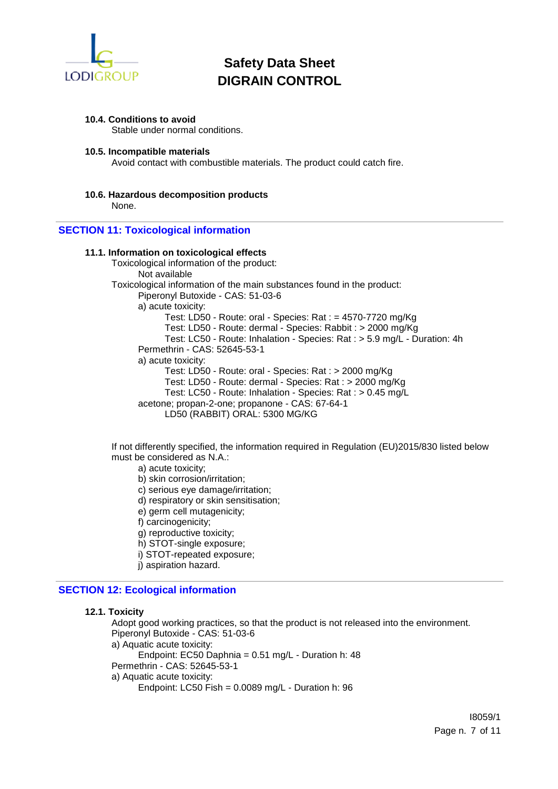

### **10.4. Conditions to avoid**

Stable under normal conditions.

### **10.5. Incompatible materials**

Avoid contact with combustible materials. The product could catch fire.

**10.6. Hazardous decomposition products** None.

### **SECTION 11: Toxicological information**

### **11.1. Information on toxicological effects**

Toxicological information of the product: Not available Toxicological information of the main substances found in the product: Piperonyl Butoxide - CAS: 51-03-6 a) acute toxicity: Test: LD50 - Route: oral - Species: Rat : = 4570-7720 mg/Kg Test: LD50 - Route: dermal - Species: Rabbit : > 2000 mg/Kg Test: LC50 - Route: Inhalation - Species: Rat : > 5.9 mg/L - Duration: 4h Permethrin - CAS: 52645-53-1 a) acute toxicity: Test: LD50 - Route: oral - Species: Rat : > 2000 mg/Kg Test: LD50 - Route: dermal - Species: Rat : > 2000 mg/Kg Test: LC50 - Route: Inhalation - Species: Rat : > 0.45 mg/L acetone; propan-2-one; propanone - CAS: 67-64-1 LD50 (RABBIT) ORAL: 5300 MG/KG

If not differently specified, the information required in Regulation (EU)2015/830 listed below must be considered as N.A.:

- a) acute toxicity;
- b) skin corrosion/irritation;
- c) serious eye damage/irritation;
- d) respiratory or skin sensitisation;
- e) germ cell mutagenicity;
- f) carcinogenicity;
- g) reproductive toxicity;
- h) STOT-single exposure;
- i) STOT-repeated exposure;
- j) aspiration hazard.

## **SECTION 12: Ecological information**

### **12.1. Toxicity**

Adopt good working practices, so that the product is not released into the environment. Piperonyl Butoxide - CAS: 51-03-6 a) Aquatic acute toxicity: Endpoint: EC50 Daphnia = 0.51 mg/L - Duration h: 48 Permethrin - CAS: 52645-53-1 a) Aquatic acute toxicity: Endpoint: LC50 Fish = 0.0089 mg/L - Duration h: 96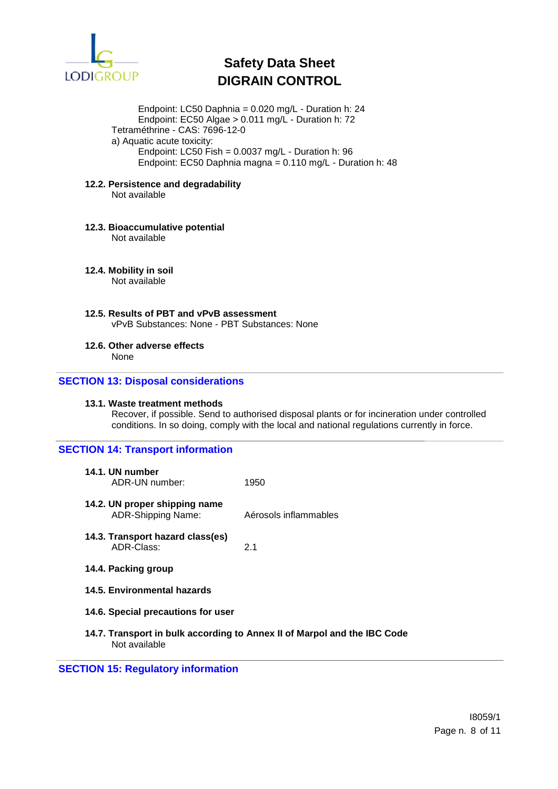

Endpoint: LC50 Daphnia = 0.020 mg/L - Duration h: 24 Endpoint: EC50 Algae > 0.011 mg/L - Duration h: 72 Tetraméthrine - CAS: 7696-12-0 a) Aquatic acute toxicity: Endpoint: LC50 Fish =  $0.0037$  mg/L - Duration h: 96 Endpoint: EC50 Daphnia magna = 0.110 mg/L - Duration h: 48

**12.2. Persistence and degradability** Not available

# **12.3. Bioaccumulative potential**

Not available

**12.4. Mobility in soil**

Not available

**12.5. Results of PBT and vPvB assessment** vPvB Substances: None - PBT Substances: None

**12.6. Other adverse effects**

None

## **SECTION 13: Disposal considerations**

#### **13.1. Waste treatment methods**

Recover, if possible. Send to authorised disposal plants or for incineration under controlled conditions. In so doing, comply with the local and national regulations currently in force.

### **SECTION 14: Transport information**

| 14.1. UN number<br>ADR-UN number:                                           | 1950                  |  |
|-----------------------------------------------------------------------------|-----------------------|--|
| 14.2. UN proper shipping name<br><b>ADR-Shipping Name:</b>                  | Aérosols inflammables |  |
| 14.3. Transport hazard class(es)<br>ADR-Class:                              | 21                    |  |
| 14.4. Packing group                                                         |                       |  |
| 14.5. Environmental hazards                                                 |                       |  |
| 14.6. Special precautions for user                                          |                       |  |
| 14.7. Transport in bulk according to Annex II of Marpol ar<br>Not available |                       |  |

**1** and the IBC Code Not available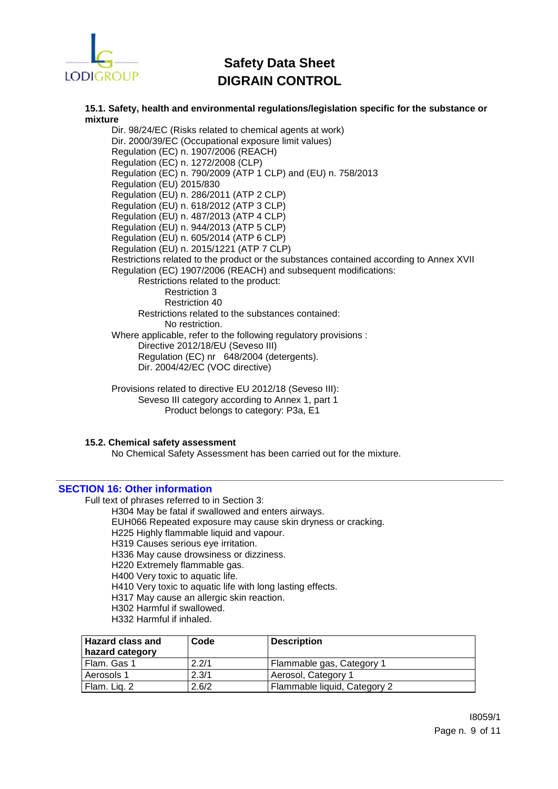

**15.1. Safety, health and environmental regulations/legislation specific for the substance or mixture**

Dir. 98/24/EC (Risks related to chemical agents at work) Dir. 2000/39/EC (Occupational exposure limit values) Regulation (EC) n. 1907/2006 (REACH) Regulation (EC) n. 1272/2008 (CLP) Regulation (EC) n. 790/2009 (ATP 1 CLP) and (EU) n. 758/2013 Regulation (EU) 2015/830 Regulation (EU) n. 286/2011 (ATP 2 CLP) Regulation (EU) n. 618/2012 (ATP 3 CLP) Regulation (EU) n. 487/2013 (ATP 4 CLP) Regulation (EU) n. 944/2013 (ATP 5 CLP) Regulation (EU) n. 605/2014 (ATP 6 CLP) Regulation (EU) n. 2015/1221 (ATP 7 CLP) Restrictions related to the product or the substances contained according to Annex XVII Regulation (EC) 1907/2006 (REACH) and subsequent modifications: Restrictions related to the product: Restriction 3 Restriction 40 Restrictions related to the substances contained: No restriction. Where applicable, refer to the following regulatory provisions : Directive 2012/18/EU (Seveso III) Regulation (EC) nr 648/2004 (detergents). Dir. 2004/42/EC (VOC directive)

Provisions related to directive EU 2012/18 (Seveso III): Seveso III category according to Annex 1, part 1 Product belongs to category: P3a, E1

### **15.2. Chemical safety assessment**

No Chemical Safety Assessment has been carried out for the mixture.

## **SECTION 16: Other information**

Full text of phrases referred to in Section 3:

- H304 May be fatal if swallowed and enters airways.
- EUH066 Repeated exposure may cause skin dryness or cracking.
- H225 Highly flammable liquid and vapour.
- H319 Causes serious eye irritation.
- H336 May cause drowsiness or dizziness.
- H220 Extremely flammable gas.
- H400 Very toxic to aquatic life.
- H410 Very toxic to aquatic life with long lasting effects.
- H317 May cause an allergic skin reaction.
- H302 Harmful if swallowed.
- H332 Harmful if inhaled.

| <b>Hazard class and</b><br>hazard category | Code  | <b>Description</b>           |
|--------------------------------------------|-------|------------------------------|
| l Flam. Gas 1                              | 2.2/1 | Flammable gas, Category 1    |
| Aerosols 1                                 | 2.3/1 | Aerosol, Category 1          |
| Flam. Lig. 2                               | 2.6/2 | Flammable liquid, Category 2 |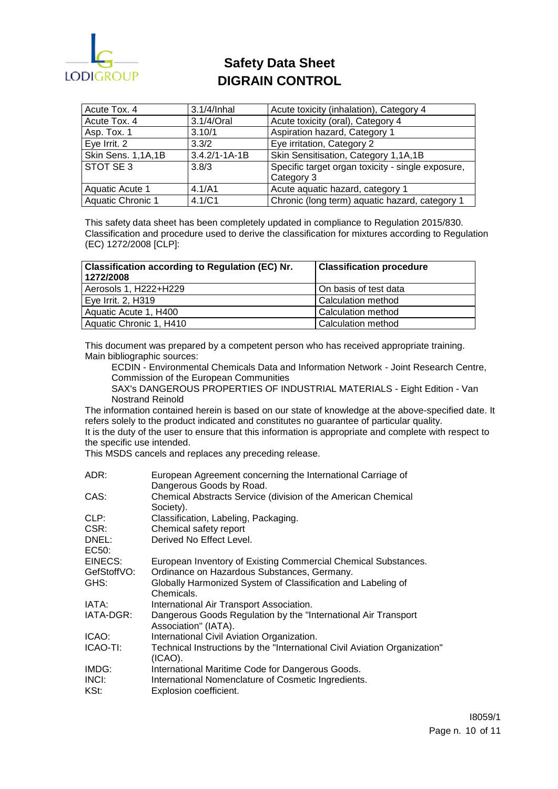

| Acute Tox. 4       | 3.1/4/Inhal         | Acute toxicity (inhalation), Category 4           |
|--------------------|---------------------|---------------------------------------------------|
| Acute Tox. 4       | 3.1/4/Oral          | Acute toxicity (oral), Category 4                 |
| Asp. Tox. 1        | 3.10/1              | Aspiration hazard, Category 1                     |
| Eye Irrit. 2       | 3.3/2               | Eye irritation, Category 2                        |
| Skin Sens. 1,1A,1B | $3.4.2/1 - 1A - 1B$ | Skin Sensitisation, Category 1,1A,1B              |
| STOT SE 3          | 3.8/3               | Specific target organ toxicity - single exposure, |
|                    |                     | Category 3                                        |
| Aquatic Acute 1    | 4.1/A1              | Acute aquatic hazard, category 1                  |
| Aquatic Chronic 1  | 4.1/C1              | Chronic (long term) aquatic hazard, category 1    |

This safety data sheet has been completely updated in compliance to Regulation 2015/830. Classification and procedure used to derive the classification for mixtures according to Regulation (EC) 1272/2008 [CLP]:

| Classification according to Regulation (EC) Nr.<br>1272/2008 | <b>Classification procedure</b> |
|--------------------------------------------------------------|---------------------------------|
| Aerosols 1, H222+H229                                        | On basis of test data           |
| Eye Irrit. 2, H319                                           | Calculation method              |
| Aquatic Acute 1, H400                                        | Calculation method              |
| Aquatic Chronic 1, H410                                      | Calculation method              |

This document was prepared by a competent person who has received appropriate training. Main bibliographic sources:

ECDIN - Environmental Chemicals Data and Information Network - Joint Research Centre, Commission of the European Communities

SAX's DANGEROUS PROPERTIES OF INDUSTRIAL MATERIALS - Eight Edition - Van Nostrand Reinold

The information contained herein is based on our state of knowledge at the above-specified date. It refers solely to the product indicated and constitutes no guarantee of particular quality.

It is the duty of the user to ensure that this information is appropriate and complete with respect to the specific use intended.

This MSDS cancels and replaces any preceding release.

| ADR:        | European Agreement concerning the International Carriage of                             |
|-------------|-----------------------------------------------------------------------------------------|
|             | Dangerous Goods by Road.                                                                |
| CAS:        | Chemical Abstracts Service (division of the American Chemical<br>Society).              |
| CLP:        | Classification, Labeling, Packaging.                                                    |
| CSR:        | Chemical safety report                                                                  |
| DNEL:       | Derived No Effect Level.                                                                |
| EC50:       |                                                                                         |
| EINECS:     | European Inventory of Existing Commercial Chemical Substances.                          |
| GefStoffVO: | Ordinance on Hazardous Substances, Germany.                                             |
| GHS:        | Globally Harmonized System of Classification and Labeling of<br>Chemicals.              |
| IATA:       | International Air Transport Association.                                                |
| IATA-DGR:   | Dangerous Goods Regulation by the "International Air Transport"<br>Association" (IATA). |
| ICAO:       | International Civil Aviation Organization.                                              |
| ICAO-TI:    | Technical Instructions by the "International Civil Aviation Organization"<br>(ICAO).    |
| IMDG:       | International Maritime Code for Dangerous Goods.                                        |
| INCI:       | International Nomenclature of Cosmetic Ingredients.                                     |
| KSt:        | Explosion coefficient.                                                                  |
|             |                                                                                         |